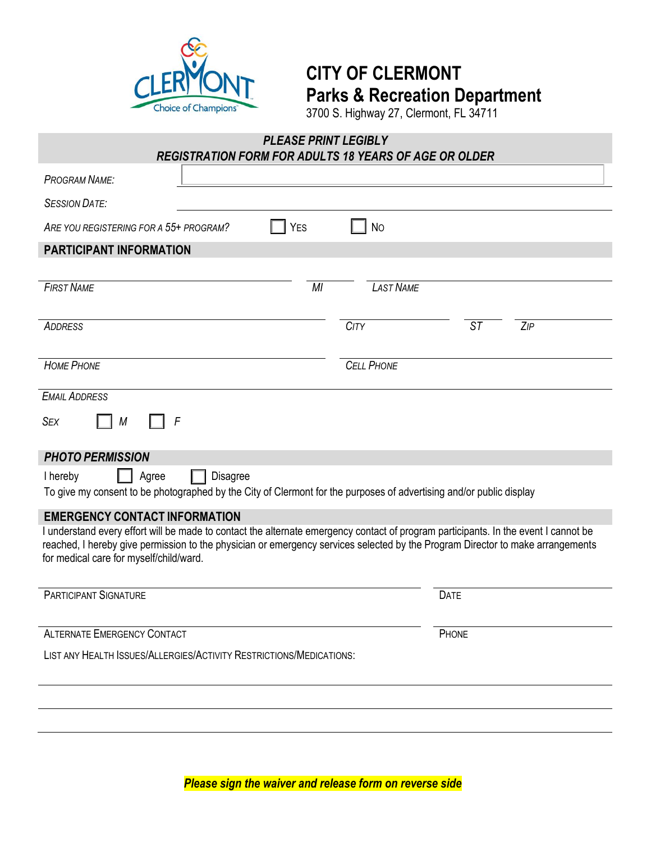

## **CITY OF CLERMONT Parks & Recreation Department**

3700 S. Highway 27, Clermont, FL 34711

# *PLEASE PRINT LEGIBLY REGISTRATION FORM FOR ADULTS 18 YEARS OF AGE OR OLDER PROGRAM NAME: SESSION DATE:* ARE YOU REGISTERING FOR A 55+ PROGRAM?  $\blacksquare$  YES  $\blacksquare$  No **PARTICIPANT INFORMATION** *FIRST NAME MI LAST NAME ADDRESS CITY ST ZIP HOME PHONE CELL PHONE EMAIL ADDRESS SEX*  $\Box$  *M PHOTO PERMISSION* I hereby **Agree Disagree** To give my consent to be photographed by the City of Clermont for the purposes of advertising and/or public display *F*

#### **EMERGENCY CONTACT INFORMATION**

I understand every effort will be made to contact the alternate emergency contact of program participants. In the event I cannot be reached, I hereby give permission to the physician or emergency services selected by the Program Director to make arrangements for medical care for myself/child/ward.

**PARTICIPANT SIGNATURE DATE** 

ALTERNATE EMERGENCY CONTACT **PHONE** 

LIST ANY HEALTH ISSUES/ALLERGIES/ACTIVITY RESTRICTIONS/MEDICATIONS:

*Please sign the waiver and release form on reverse side*